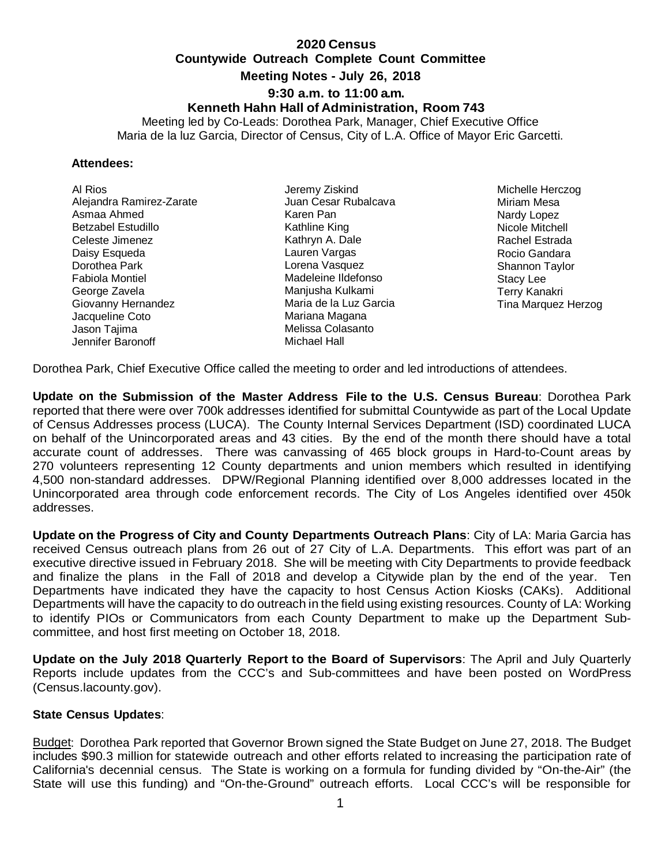# **2020 Census Countywide Outreach Complete Count Committee Meeting Notes - July 26, 2018 9:30 a.m. to 11:00 a.m. Kenneth Hahn Hall of Administration, Room 743**

Meeting led by Co-Leads: Dorothea Park, Manager, Chief Executive Office Maria de la luz Garcia, Director of Census, City of L.A. Office of Mayor Eric Garcetti.

#### **Attendees:**

| Al Rios                  | Jeremy Ziskind         |
|--------------------------|------------------------|
| Alejandra Ramirez-Zarate | Juan Cesar Rubalcava   |
| Asmaa Ahmed              | Karen Pan              |
| Betzabel Estudillo       | Kathline King          |
| Celeste Jimenez          | Kathryn A. Dale        |
| Daisy Esqueda            | Lauren Vargas          |
| Dorothea Park            | Lorena Vasquez         |
| <b>Fabiola Montiel</b>   | Madeleine Ildefonso    |
| George Zavela            | Manjusha Kulkami       |
| Giovanny Hernandez       | Maria de la Luz Garcia |
| Jacqueline Coto          | Mariana Magana         |
| Jason Tajima             | Melissa Colasanto      |
| Jennifer Baronoff        | Michael Hall           |

Michelle Herczog Miriam Mesa Nardy Lopez Nicole Mitchell Rachel Estrada Rocio Gandara Shannon Taylor Stacy Lee Terry Kanakri Tina Marquez Herzog

Dorothea Park, Chief Executive Office called the meeting to order and led introductions of attendees.

**Update on the Submission of the Master Address File to the U.S. Census Bureau**: Dorothea Park reported that there were over 700k addresses identified for submittal Countywide as part of the Local Update of Census Addresses process (LUCA). The County Internal Services Department (ISD) coordinated LUCA on behalf of the Unincorporated areas and 43 cities. By the end of the month there should have a total accurate count of addresses. There was canvassing of 465 block groups in Hard-to-Count areas by 270 volunteers representing 12 County departments and union members which resulted in identifying 4,500 non-standard addresses. DPW/Regional Planning identified over 8,000 addresses located in the Unincorporated area through code enforcement records. The City of Los Angeles identified over 450k addresses.

**Update on the Progress of City and County Departments Outreach Plans**: City of LA: Maria Garcia has received Census outreach plans from 26 out of 27 City of L.A. Departments. This effort was part of an executive directive issued in February 2018. She will be meeting with City Departments to provide feedback and finalize the plans in the Fall of 2018 and develop a Citywide plan by the end of the year. Ten Departments have indicated they have the capacity to host Census Action Kiosks (CAKs). Additional Departments will have the capacity to do outreach in the field using existing resources. County of LA: Working to identify PIOs or Communicators from each County Department to make up the Department Subcommittee, and host first meeting on October 18, 2018.

**Update on the July 2018 Quarterly Report to the Board of Supervisors**: The April and July Quarterly Reports include updates from the CCC's and Sub-committees and have been posted on WordPress (Census.lacounty.gov).

### **State Census Updates**:

Budget: Dorothea Park reported that Governor Brown signed the State Budget on June 27, 2018. The Budget includes \$90.3 million for statewide outreach and other efforts related to increasing the participation rate of California's decennial census. The State is working on a formula for funding divided by "On-the-Air" (the State will use this funding) and "On-the-Ground" outreach efforts. Local CCC's will be responsible for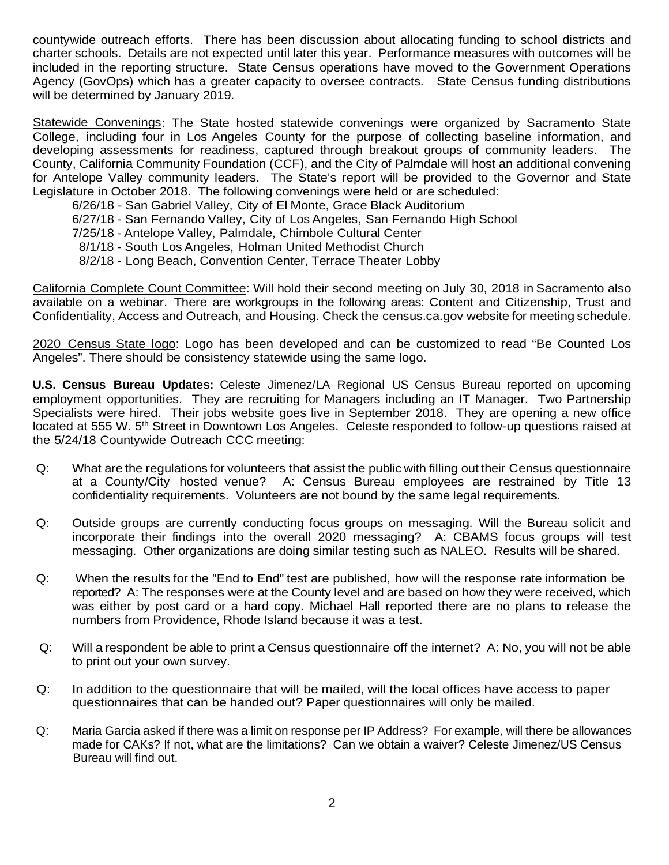countywide outreach efforts. There has been discussion about allocating funding to school districts and charter schools. Details are not expected until later this year. Performance measures with outcomes will be included in the reporting structure. State Census operations have moved to the Government Operations Agency (GovOps) which has a greater capacity to oversee contracts. State Census funding distributions will be determined by January 2019.

Statewide Convenings: The State hosted statewide convenings were organized by Sacramento State College, including four in Los Angeles County for the purpose of collecting baseline information, and developing assessments for readiness, captured through breakout groups of community leaders. The County, California Community Foundation (CCF), and the City of Palmdale will host an additional convening for Antelope Valley community leaders. The State's report will be provided to the Governor and State Legislature in October 2018. The following convenings were held or are scheduled:

6/26/18 - San Gabriel Valley, City of El Monte, Grace Black Auditorium

6/27/18 - San Fernando Valley, City of Los Angeles, San Fernando High School

7/25/18 - Antelope Valley, Palmdale, Chimbole Cultural Center

8/1/18 - South Los Angeles, Holman United Methodist Church

8/2/18 - Long Beach, Convention Center, Terrace Theater Lobby

California Complete Count Committee: Will hold their second meeting on July 30, 2018 in Sacramento also available on a webinar. There are workgroups in the following areas: Content and Citizenship, Trust and Confidentiality, Access and Outreach, and Housing. Check the census.ca.gov website for meeting schedule.

2020 Census State logo: Logo has been developed and can be customized to read "Be Counted Los Angeles". There should be consistency statewide using the same logo.

**U.S. Census Bureau Updates:** Celeste Jimenez/LA Regional US Census Bureau reported on upcoming employment opportunities. They are recruiting for Managers including an IT Manager. Two Partnership Specialists were hired. Their jobs website goes live in September 2018. They are opening a new office located at 555 W. 5<sup>th</sup> Street in Downtown Los Angeles. Celeste responded to follow-up questions raised at the 5/24/18 Countywide Outreach CCC meeting:

- Q: What are the regulations for volunteers that assist the public with filling out their Census questionnaire at a County/City hosted venue? A: Census Bureau employees are restrained by Title 13 confidentiality requirements. Volunteers are not bound by the same legal requirements.
- Q: Outside groups are currently conducting focus groups on messaging. Will the Bureau solicit and incorporate their findings into the overall 2020 messaging? A: CBAMS focus groups will test messaging. Other organizations are doing similar testing such as NALEO. Results will be shared.
- Q: When the results for the "End to End" test are published, how will the response rate information be reported? A: The responses were at the County level and are based on how they were received, which was either by post card or a hard copy. Michael Hall reported there are no plans to release the numbers from Providence, Rhode Island because it was a test.
- Q: Will a respondent be able to print a Census questionnaire off the internet? A: No, you will not be able to print out your own survey.
- Q: In addition to the questionnaire that will be mailed, will the local offices have access to paper questionnaires that can be handed out? Paper questionnaires will only be mailed.
- Q: Maria Garcia asked if there was a limit on response per IP Address? For example, will there be allowances made for CAKs? If not, what are the limitations? Can we obtain a waiver? Celeste Jimenez/US Census Bureau will find out.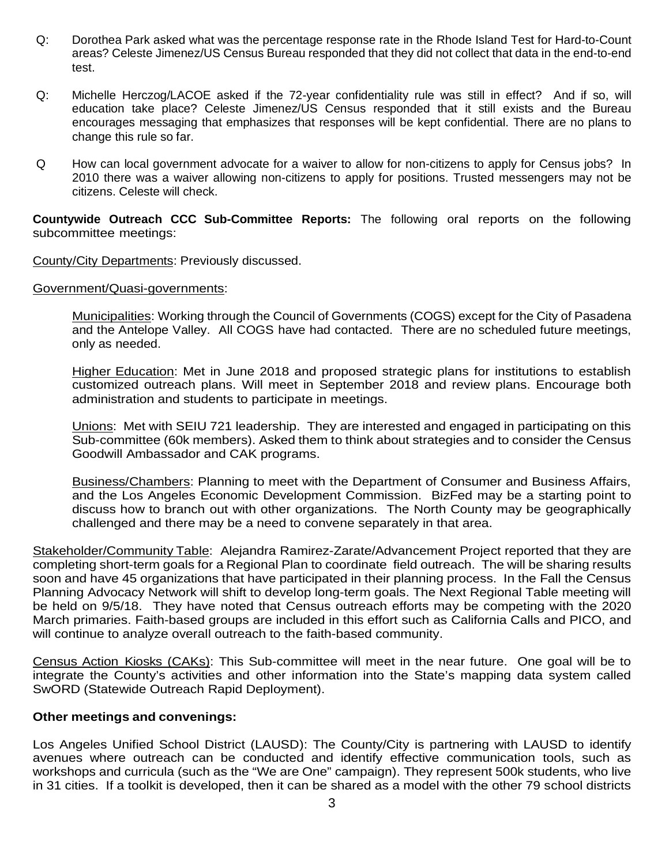- Q: Dorothea Park asked what was the percentage response rate in the Rhode Island Test for Hard-to-Count areas? Celeste Jimenez/US Census Bureau responded that they did not collect that data in the end-to-end test.
- Q: Michelle Herczog/LACOE asked if the 72-year confidentiality rule was still in effect? And if so, will education take place? Celeste Jimenez/US Census responded that it still exists and the Bureau encourages messaging that emphasizes that responses will be kept confidential. There are no plans to change this rule so far.
- Q How can local government advocate for a waiver to allow for non-citizens to apply for Census jobs? In 2010 there was a waiver allowing non-citizens to apply for positions. Trusted messengers may not be citizens. Celeste will check.

**Countywide Outreach CCC Sub-Committee Reports:** The following oral reports on the following subcommittee meetings:

County/City Departments: Previously discussed.

Government/Quasi-governments:

Municipalities: Working through the Council of Governments (COGS) except for the City of Pasadena and the Antelope Valley. All COGS have had contacted. There are no scheduled future meetings, only as needed.

Higher Education: Met in June 2018 and proposed strategic plans for institutions to establish customized outreach plans. Will meet in September 2018 and review plans. Encourage both administration and students to participate in meetings.

Unions: Met with SEIU 721 leadership. They are interested and engaged in participating on this Sub-committee (60k members). Asked them to think about strategies and to consider the Census Goodwill Ambassador and CAK programs.

Business/Chambers: Planning to meet with the Department of Consumer and Business Affairs, and the Los Angeles Economic Development Commission. BizFed may be a starting point to discuss how to branch out with other organizations. The North County may be geographically challenged and there may be a need to convene separately in that area.

Stakeholder/Community Table: Alejandra Ramirez-Zarate/Advancement Project reported that they are completing short-term goals for a Regional Plan to coordinate field outreach. The will be sharing results soon and have 45 organizations that have participated in their planning process. In the Fall the Census Planning Advocacy Network will shift to develop long-term goals. The Next Regional Table meeting will be held on 9/5/18. They have noted that Census outreach efforts may be competing with the 2020 March primaries. Faith-based groups are included in this effort such as California Calls and PICO, and will continue to analyze overall outreach to the faith-based community.

Census Action Kiosks (CAKs): This Sub-committee will meet in the near future. One goal will be to integrate the County's activities and other information into the State's mapping data system called SwORD (Statewide Outreach Rapid Deployment).

### **Other meetings and convenings:**

Los Angeles Unified School District (LAUSD): The County/City is partnering with LAUSD to identify avenues where outreach can be conducted and identify effective communication tools, such as workshops and curricula (such as the "We are One" campaign). They represent 500k students, who live in 31 cities. If a toolkit is developed, then it can be shared as a model with the other 79 school districts